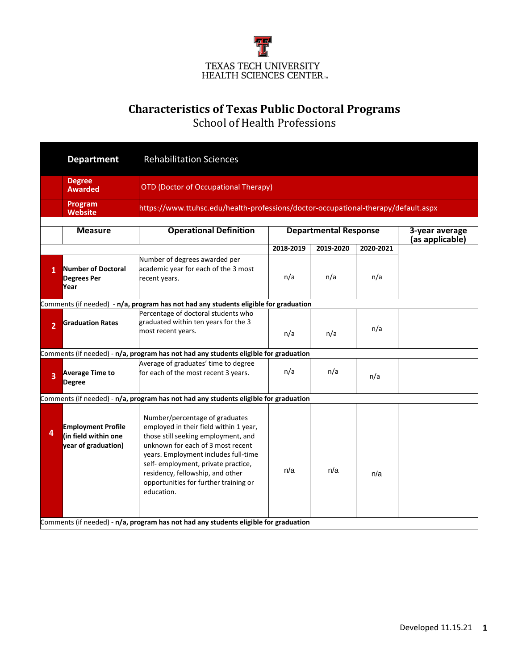

## **Characteristics of Texas Public Doctoral Programs**

School of Health Professions

|                | <b>Department</b>                                                        | <b>Rehabilitation Sciences</b>                                                                                                                                                                                                                                                                                                 |                                                                                    |           |           |  |  |  |  |
|----------------|--------------------------------------------------------------------------|--------------------------------------------------------------------------------------------------------------------------------------------------------------------------------------------------------------------------------------------------------------------------------------------------------------------------------|------------------------------------------------------------------------------------|-----------|-----------|--|--|--|--|
|                | <b>Degree</b><br><b>Awarded</b>                                          | <b>OTD (Doctor of Occupational Therapy)</b>                                                                                                                                                                                                                                                                                    |                                                                                    |           |           |  |  |  |  |
|                | Program<br><b>Website</b>                                                |                                                                                                                                                                                                                                                                                                                                | https://www.ttuhsc.edu/health-professions/doctor-occupational-therapy/default.aspx |           |           |  |  |  |  |
|                |                                                                          |                                                                                                                                                                                                                                                                                                                                |                                                                                    |           |           |  |  |  |  |
|                | <b>Measure</b>                                                           | <b>Operational Definition</b>                                                                                                                                                                                                                                                                                                  | <b>Departmental Response</b><br>3-year average<br>(as applicable)                  |           |           |  |  |  |  |
|                |                                                                          |                                                                                                                                                                                                                                                                                                                                | 2018-2019                                                                          | 2019-2020 | 2020-2021 |  |  |  |  |
| 1              | <b>Number of Doctoral</b><br><b>Degrees Per</b><br>Year                  | Number of degrees awarded per<br>academic year for each of the 3 most<br>recent years.                                                                                                                                                                                                                                         | n/a                                                                                | n/a       | n/a       |  |  |  |  |
|                |                                                                          | Comments (if needed) - n/a, program has not had any students eligible for graduation                                                                                                                                                                                                                                           |                                                                                    |           |           |  |  |  |  |
| $\overline{2}$ | <b>Graduation Rates</b>                                                  | Percentage of doctoral students who<br>graduated within ten years for the 3<br>most recent years.                                                                                                                                                                                                                              | n/a                                                                                | n/a       | n/a       |  |  |  |  |
|                |                                                                          | Comments (if needed) - n/a, program has not had any students eligible for graduation                                                                                                                                                                                                                                           |                                                                                    |           |           |  |  |  |  |
| $\overline{3}$ | <b>Average Time to</b><br><b>Degree</b>                                  | Average of graduates' time to degree<br>for each of the most recent 3 years.                                                                                                                                                                                                                                                   | n/a                                                                                | n/a       | n/a       |  |  |  |  |
|                |                                                                          | Comments (if needed) - n/a, program has not had any students eligible for graduation                                                                                                                                                                                                                                           |                                                                                    |           |           |  |  |  |  |
| 4              | <b>Employment Profile</b><br>(in field within one<br>year of graduation) | Number/percentage of graduates<br>employed in their field within 1 year,<br>those still seeking employment, and<br>unknown for each of 3 most recent<br>years. Employment includes full-time<br>self- employment, private practice,<br>residency, fellowship, and other<br>opportunities for further training or<br>education. | n/a                                                                                | n/a       | n/a       |  |  |  |  |
|                |                                                                          | Comments (if needed) - n/a, program has not had any students eligible for graduation                                                                                                                                                                                                                                           |                                                                                    |           |           |  |  |  |  |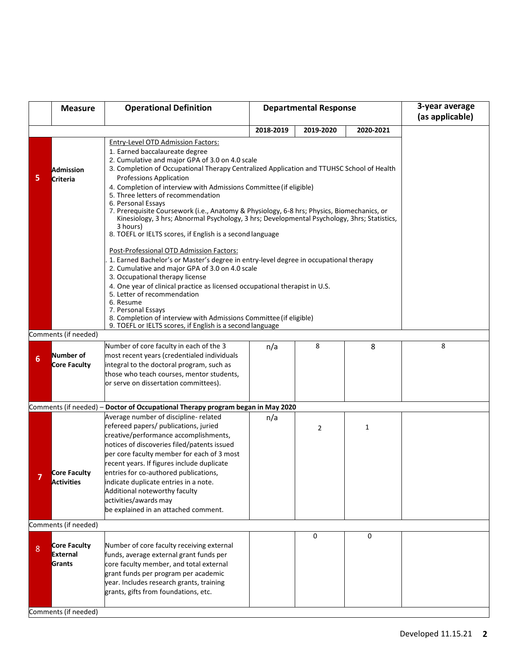|   | <b>Measure</b>                            | <b>Operational Definition</b>                                                                                                                                                                                                                                                                                                                                                                                                                                                                                                                                                                                                                                                                                                                                                                       | <b>Departmental Response</b> |                |             | 3-year average<br>(as applicable) |  |  |
|---|-------------------------------------------|-----------------------------------------------------------------------------------------------------------------------------------------------------------------------------------------------------------------------------------------------------------------------------------------------------------------------------------------------------------------------------------------------------------------------------------------------------------------------------------------------------------------------------------------------------------------------------------------------------------------------------------------------------------------------------------------------------------------------------------------------------------------------------------------------------|------------------------------|----------------|-------------|-----------------------------------|--|--|
|   |                                           |                                                                                                                                                                                                                                                                                                                                                                                                                                                                                                                                                                                                                                                                                                                                                                                                     | 2018-2019                    | 2019-2020      | 2020-2021   |                                   |  |  |
| 5 | <b>Admission</b><br>Criteria              | Entry-Level OTD Admission Factors:<br>1. Earned baccalaureate degree<br>2. Cumulative and major GPA of 3.0 on 4.0 scale<br>3. Completion of Occupational Therapy Centralized Application and TTUHSC School of Health<br><b>Professions Application</b><br>4. Completion of interview with Admissions Committee (if eligible)<br>5. Three letters of recommendation<br>6. Personal Essays<br>7. Prerequisite Coursework (i.e., Anatomy & Physiology, 6-8 hrs; Physics, Biomechanics, or<br>Kinesiology, 3 hrs; Abnormal Psychology, 3 hrs; Developmental Psychology, 3hrs; Statistics,<br>3 hours)<br>8. TOEFL or IELTS scores, if English is a second language<br>Post-Professional OTD Admission Factors:<br>1. Earned Bachelor's or Master's degree in entry-level degree in occupational therapy |                              |                |             |                                   |  |  |
|   |                                           | 2. Cumulative and major GPA of 3.0 on 4.0 scale<br>3. Occupational therapy license<br>4. One year of clinical practice as licensed occupational therapist in U.S.<br>5. Letter of recommendation<br>6. Resume<br>7. Personal Essays<br>8. Completion of interview with Admissions Committee (if eligible)<br>9. TOEFL or IELTS scores, if English is a second language                                                                                                                                                                                                                                                                                                                                                                                                                              |                              |                |             |                                   |  |  |
|   | Comments (if needed)                      |                                                                                                                                                                                                                                                                                                                                                                                                                                                                                                                                                                                                                                                                                                                                                                                                     |                              |                |             |                                   |  |  |
| 6 | Number of<br>Core Faculty                 | Number of core faculty in each of the 3<br>most recent years (credentialed individuals<br>integral to the doctoral program, such as<br>those who teach courses, mentor students,<br>or serve on dissertation committees).                                                                                                                                                                                                                                                                                                                                                                                                                                                                                                                                                                           | n/a                          | 8              | 8           | 8                                 |  |  |
|   |                                           | Comments (if needed) - Doctor of Occupational Therapy program began in May 2020                                                                                                                                                                                                                                                                                                                                                                                                                                                                                                                                                                                                                                                                                                                     |                              |                |             |                                   |  |  |
|   | Core Faculty<br>Activities                | Average number of discipline- related<br>refereed papers/ publications, juried<br>creative/performance accomplishments,<br>notices of discoveries filed/patents issued<br>per core faculty member for each of 3 most<br>recent years. If figures include duplicate<br>entries for co-authored publications,<br>indicate duplicate entries in a note.<br>Additional noteworthy faculty<br>activities/awards may<br>be explained in an attached comment.                                                                                                                                                                                                                                                                                                                                              | n/a                          | $\overline{2}$ | 1           |                                   |  |  |
|   | Comments (if needed)                      |                                                                                                                                                                                                                                                                                                                                                                                                                                                                                                                                                                                                                                                                                                                                                                                                     |                              |                |             |                                   |  |  |
| 8 | <b>Core Faculty</b><br>External<br>Grants | Number of core faculty receiving external<br>funds, average external grant funds per<br>core faculty member, and total external<br>grant funds per program per academic<br>year. Includes research grants, training<br>grants, gifts from foundations, etc.                                                                                                                                                                                                                                                                                                                                                                                                                                                                                                                                         |                              | 0              | $\mathbf 0$ |                                   |  |  |
|   | Comments (if needed)                      |                                                                                                                                                                                                                                                                                                                                                                                                                                                                                                                                                                                                                                                                                                                                                                                                     |                              |                |             |                                   |  |  |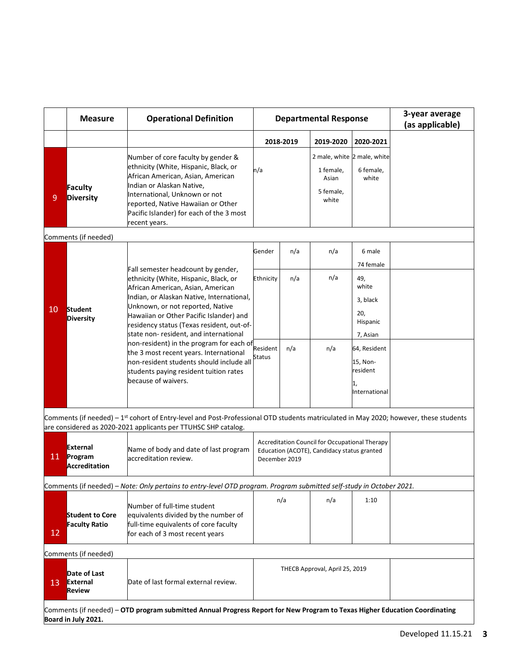|                | <b>Measure</b>              | <b>Operational Definition</b>                                                                                                                                                                                                                                                             | <b>Departmental Response</b> |            |                                          |                                                                         | 3-year average<br>(as applicable) |
|----------------|-----------------------------|-------------------------------------------------------------------------------------------------------------------------------------------------------------------------------------------------------------------------------------------------------------------------------------------|------------------------------|------------|------------------------------------------|-------------------------------------------------------------------------|-----------------------------------|
|                |                             |                                                                                                                                                                                                                                                                                           | 2018-2019                    |            | 2019-2020                                | 2020-2021                                                               |                                   |
| $\overline{9}$ | Faculty<br><b>Diversity</b> | Number of core faculty by gender &<br>ethnicity (White, Hispanic, Black, or<br>African American, Asian, American<br>Indian or Alaskan Native,<br>International, Unknown or not<br>reported, Native Hawaiian or Other<br>Pacific Islander) for each of the 3 most<br>recent years.         | n/a                          |            | 1 female,<br>Asian<br>5 female,<br>white | 2 male, white 2 male, white<br>6 female,<br>white                       |                                   |
|                | Comments (if needed)        |                                                                                                                                                                                                                                                                                           |                              |            |                                          |                                                                         |                                   |
| 10             | Student<br><b>Diversity</b> | Fall semester headcount by gender,<br>ethnicity (White, Hispanic, Black, or<br>African American, Asian, American<br>Indian, or Alaskan Native, International,<br>Unknown, or not reported, Native<br>Hawaiian or Other Pacific Islander) and<br>residency status (Texas resident, out-of- | Gender<br>Ethnicity          | n/a<br>n/a | n/a<br>n/a                               | 6 male<br>74 female<br>49,<br>white<br>3, black<br>20,<br>Hispanic      |                                   |
|                |                             | state non-resident, and international<br>non-resident) in the program for each of<br>the 3 most recent years. International<br>non-resident students should include all<br>students paying resident tuition rates<br>because of waivers.                                                  | Resident<br><b>Status</b>    | n/a        | n/a                                      | 7, Asian<br>64, Resident<br>15, Non-<br>resident<br>1,<br>International |                                   |

| <b>11</b> | <b>External</b><br>Program<br><b>Accreditation</b>                                                                   | Name of body and date of last program<br>accreditation review.                                                                                  | Accreditation Council for Occupational Therapy<br>Education (ACOTE), Candidacy status granted<br>December 2019 |                                        |      |  |  |  |  |
|-----------|----------------------------------------------------------------------------------------------------------------------|-------------------------------------------------------------------------------------------------------------------------------------------------|----------------------------------------------------------------------------------------------------------------|----------------------------------------|------|--|--|--|--|
|           | Comments (if needed) – Note: Only pertains to entry-level OTD program. Program submitted self-study in October 2021. |                                                                                                                                                 |                                                                                                                |                                        |      |  |  |  |  |
| <b>12</b> | <b>Student to Core</b><br><b>Faculty Ratio</b>                                                                       | Number of full-time student<br>equivalents divided by the number of<br>full-time equivalents of core faculty<br>for each of 3 most recent years | n/a                                                                                                            | n/a                                    | 1:10 |  |  |  |  |
|           | Comments (if needed)                                                                                                 |                                                                                                                                                 |                                                                                                                |                                        |      |  |  |  |  |
|           |                                                                                                                      |                                                                                                                                                 |                                                                                                                | $T11500.8 \ldots 1.8 \ldots 1.25.2040$ |      |  |  |  |  |

| 712 | Date of Last<br>External<br>Review | Date of last formal external review. | THECB Approval, April 25, 2019 |  |
|-----|------------------------------------|--------------------------------------|--------------------------------|--|
|-----|------------------------------------|--------------------------------------|--------------------------------|--|

Comments (if needed) – **OTD program submitted Annual Progress Report for New Program to Texas Higher Education Coordinating Board in July 2021.**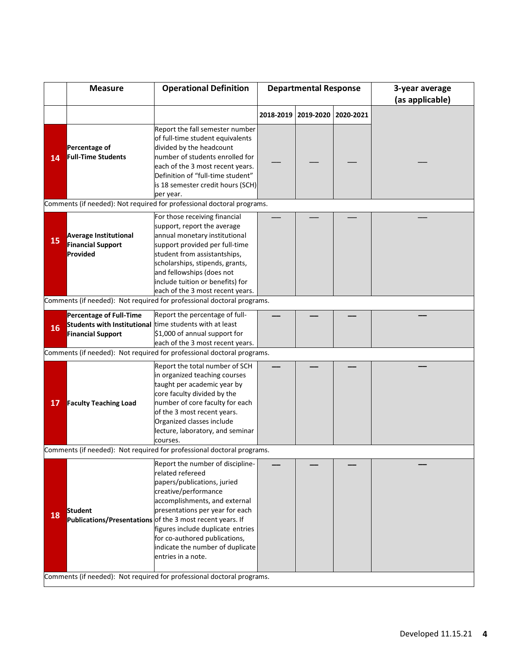|                                                                        | <b>Measure</b>                                                                                                        | <b>Operational Definition</b>                                                                                                                                                                                                                                                                                                                                                | <b>Departmental Response</b> |                       |           | 3-year average<br>(as applicable) |
|------------------------------------------------------------------------|-----------------------------------------------------------------------------------------------------------------------|------------------------------------------------------------------------------------------------------------------------------------------------------------------------------------------------------------------------------------------------------------------------------------------------------------------------------------------------------------------------------|------------------------------|-----------------------|-----------|-----------------------------------|
|                                                                        |                                                                                                                       |                                                                                                                                                                                                                                                                                                                                                                              |                              | 2018-2019   2019-2020 | 2020-2021 |                                   |
| 14                                                                     | Percentage of<br><b>Full-Time Students</b>                                                                            | Report the fall semester number<br>of full-time student equivalents<br>divided by the headcount<br>number of students enrolled for<br>each of the 3 most recent years.<br>Definition of "full-time student"<br>is 18 semester credit hours (SCH)<br>per year.                                                                                                                |                              |                       |           |                                   |
|                                                                        |                                                                                                                       | Comments (if needed): Not required for professional doctoral programs.                                                                                                                                                                                                                                                                                                       |                              |                       |           |                                   |
| 15                                                                     | <b>Average Institutional</b><br><b>Financial Support</b><br>Provided                                                  | For those receiving financial<br>support, report the average<br>annual monetary institutional<br>support provided per full-time<br>student from assistantships,<br>scholarships, stipends, grants,<br>and fellowships (does not<br>include tuition or benefits) for<br>each of the 3 most recent years.                                                                      |                              |                       |           |                                   |
|                                                                        |                                                                                                                       | Comments (if needed): Not required for professional doctoral programs.                                                                                                                                                                                                                                                                                                       |                              |                       |           |                                   |
| 16                                                                     | <b>Percentage of Full-Time</b><br>Students with Institutional time students with at least<br><b>Financial Support</b> | Report the percentage of full-<br>\$1,000 of annual support for<br>each of the 3 most recent years.                                                                                                                                                                                                                                                                          |                              |                       |           |                                   |
|                                                                        |                                                                                                                       | Comments (if needed): Not required for professional doctoral programs.                                                                                                                                                                                                                                                                                                       |                              |                       |           |                                   |
| 17                                                                     | <b>Faculty Teaching Load</b>                                                                                          | Report the total number of SCH<br>in organized teaching courses<br>taught per academic year by<br>core faculty divided by the<br>number of core faculty for each<br>of the 3 most recent years.<br>Organized classes include<br>lecture, laboratory, and seminar<br>courses.                                                                                                 |                              |                       |           |                                   |
|                                                                        |                                                                                                                       | Comments (if needed): Not required for professional doctoral programs.                                                                                                                                                                                                                                                                                                       |                              |                       |           |                                   |
| 18                                                                     | <b>Student</b>                                                                                                        | Report the number of discipline-<br>related refereed<br>papers/publications, juried<br>creative/performance<br>accomplishments, and external<br>presentations per year for each<br>Publications/Presentations of the 3 most recent years. If<br>figures include duplicate entries<br>for co-authored publications,<br>indicate the number of duplicate<br>entries in a note. |                              |                       |           |                                   |
| Comments (if needed): Not required for professional doctoral programs. |                                                                                                                       |                                                                                                                                                                                                                                                                                                                                                                              |                              |                       |           |                                   |